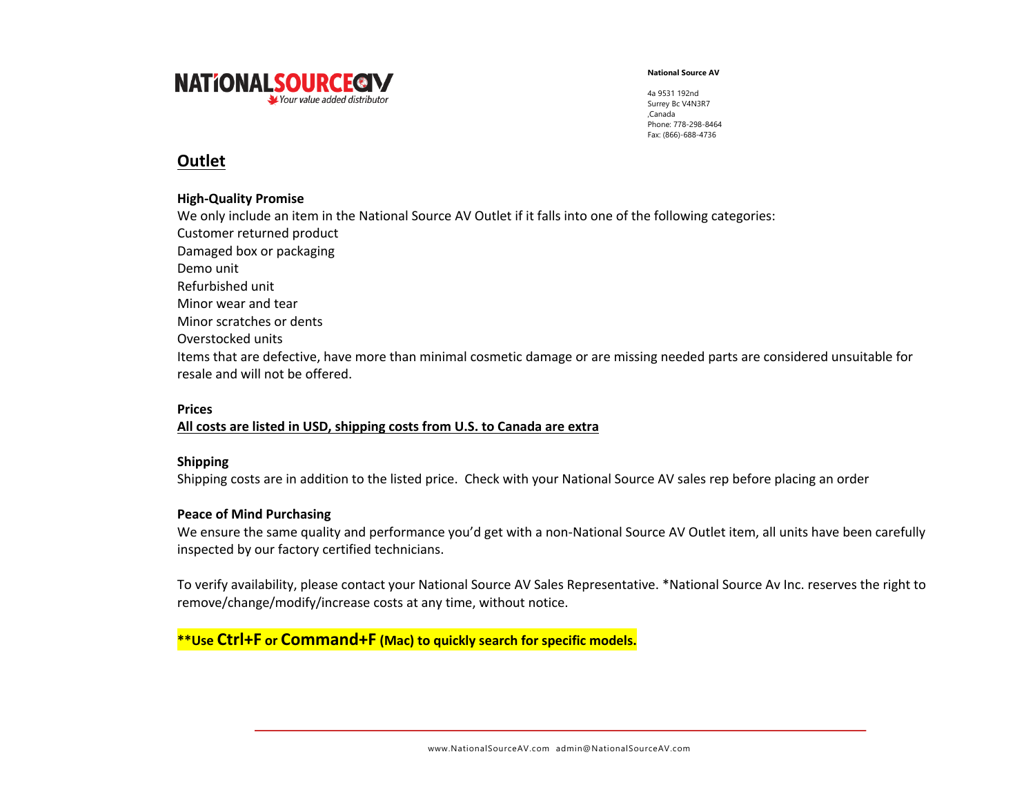

4a 9531 192nd Surrey Bc V4N3R7 ,Canada Phone: 778-298-8464 Fax: (866)-688-4736

## **Outlet**

#### **High-Quality Promise**

We only include an item in the National Source AV Outlet if it falls into one of the following categories: Customer returned product Damaged box or packaging Demo unit Refurbished unit Minor wear and tear Minor scratches or dents Overstocked units Items that are defective, have more than minimal cosmetic damage or are missing needed parts are considered unsuitable for resale and will not be offered.

### **Prices**

### **All costs are listed in USD, shipping costs from U.S. to Canada are extra**

### **Shipping**

Shipping costs are in addition to the listed price. Check with your National Source AV sales rep before placing an order

#### **Peace of Mind Purchasing**

We ensure the same quality and performance you'd get with a non-National Source AV Outlet item, all units have been carefully inspected by our factory certified technicians.

To verify availability, please contact your National Source AV Sales Representative. \*National Source Av Inc. reserves the right to remove/change/modify/increase costs at any time, without notice.

## **\*\*Use Ctrl+F or Command+F (Mac) to quickly search for specific models.**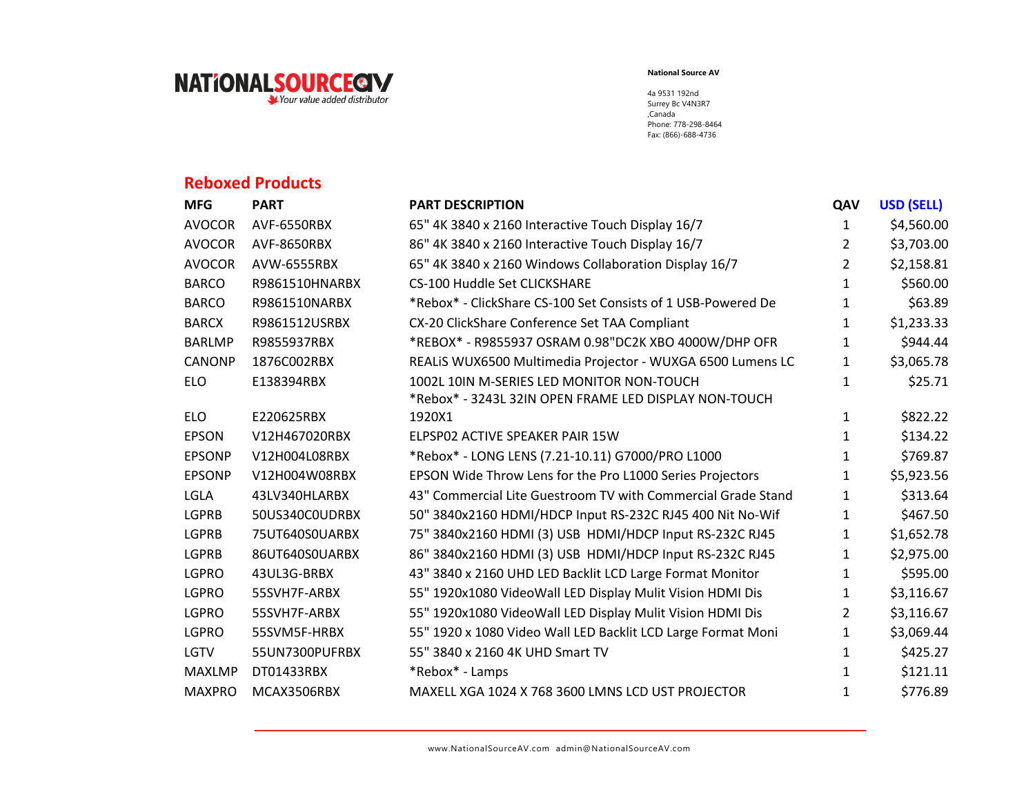

4a 9531 192nd Surrey Bc V4N3R7 ,Canada Phone: 778-298-8464 Fax: (866)-688-4736

# **Reboxed Products**

| <b>MFG</b>    | <b>PART</b>    | <b>PART DESCRIPTION</b>                                      | QAV          | <b>USD (SELL)</b> |
|---------------|----------------|--------------------------------------------------------------|--------------|-------------------|
| <b>AVOCOR</b> | AVF-6550RBX    | 65" 4K 3840 x 2160 Interactive Touch Display 16/7            | 1            | \$4,560.00        |
| <b>AVOCOR</b> | AVF-8650RBX    | 86" 4K 3840 x 2160 Interactive Touch Display 16/7            | 2            | \$3,703.00        |
| <b>AVOCOR</b> | AVW-6555RBX    | 65" 4K 3840 x 2160 Windows Collaboration Display 16/7        | 2            | \$2,158.81        |
| <b>BARCO</b>  | R9861510HNARBX | <b>CS-100 Huddle Set CLICKSHARE</b>                          | $\mathbf{1}$ | \$560.00          |
| <b>BARCO</b>  | R9861510NARBX  | *Rebox* - ClickShare CS-100 Set Consists of 1 USB-Powered De | 1            | \$63.89           |
| <b>BARCX</b>  | R9861512USRBX  | CX-20 ClickShare Conference Set TAA Compliant                | 1            | \$1,233.33        |
| <b>BARLMP</b> | R9855937RBX    | *REBOX* - R9855937 OSRAM 0.98"DC2K XBO 4000W/DHP OFR         | 1            | \$944.44          |
| CANONP        | 1876C002RBX    | REALIS WUX6500 Multimedia Projector - WUXGA 6500 Lumens LC   | 1            | \$3,065.78        |
| <b>ELO</b>    | E138394RBX     | 1002L 10IN M-SERIES LED MONITOR NON-TOUCH                    | 1            | \$25.71           |
|               |                | *Rebox* - 3243L 32IN OPEN FRAME LED DISPLAY NON-TOUCH        |              |                   |
| <b>ELO</b>    | E220625RBX     | 1920X1                                                       | 1            | \$822.22          |
| <b>EPSON</b>  | V12H467020RBX  | ELPSP02 ACTIVE SPEAKER PAIR 15W                              | 1            | \$134.22          |
| <b>EPSONP</b> | V12H004L08RBX  | *Rebox* - LONG LENS (7.21-10.11) G7000/PRO L1000             | 1            | \$769.87          |
| <b>EPSONP</b> | V12H004W08RBX  | EPSON Wide Throw Lens for the Pro L1000 Series Projectors    | 1            | \$5,923.56        |
| LGLA          | 43LV340HLARBX  | 43" Commercial Lite Guestroom TV with Commercial Grade Stand | 1            | \$313.64          |
| <b>LGPRB</b>  | 50US340C0UDRBX | 50" 3840x2160 HDMI/HDCP Input RS-232C RJ45 400 Nit No-Wif    | 1            | \$467.50          |
| <b>LGPRB</b>  | 75UT640S0UARBX | 75" 3840x2160 HDMI (3) USB HDMI/HDCP Input RS-232C RJ45      | 1            | \$1,652.78        |
| <b>LGPRB</b>  | 86UT640S0UARBX | 86" 3840x2160 HDMI (3) USB HDMI/HDCP Input RS-232C RJ45      | 1            | \$2,975.00        |
| <b>LGPRO</b>  | 43UL3G-BRBX    | 43" 3840 x 2160 UHD LED Backlit LCD Large Format Monitor     | 1            | \$595.00          |
| <b>LGPRO</b>  | 55SVH7F-ARBX   | 55" 1920x1080 VideoWall LED Display Mulit Vision HDMI Dis    | 1            | \$3,116.67        |
| <b>LGPRO</b>  | 55SVH7F-ARBX   | 55" 1920x1080 VideoWall LED Display Mulit Vision HDMI Dis    | 2            | \$3,116.67        |
| <b>LGPRO</b>  | 55SVM5F-HRBX   | 55" 1920 x 1080 Video Wall LED Backlit LCD Large Format Moni | $\mathbf{1}$ | \$3,069.44        |
| LGTV          | 55UN7300PUFRBX | 55" 3840 x 2160 4K UHD Smart TV                              | 1            | \$425.27          |
| <b>MAXLMP</b> | DT01433RBX     | *Rebox* - Lamps                                              | 1            | \$121.11          |
| <b>MAXPRO</b> | MCAX3506RBX    | MAXELL XGA 1024 X 768 3600 LMNS LCD UST PROJECTOR            | 1            | \$776.89          |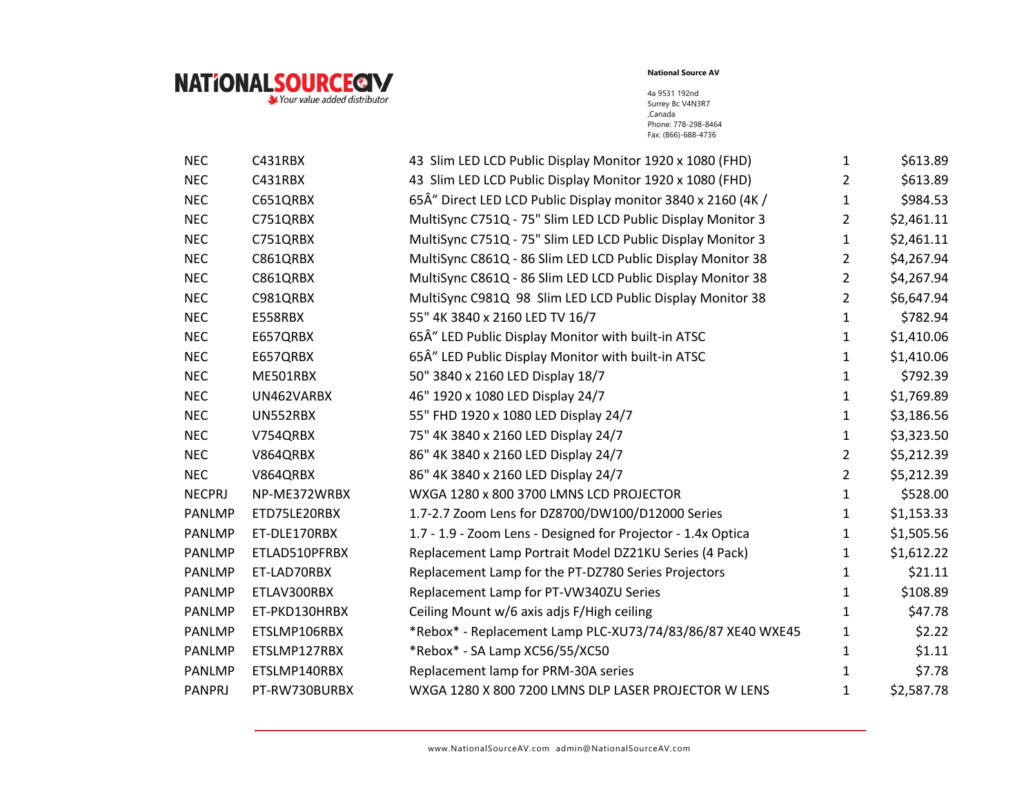

| <b>NEC</b>    | C431RBX       | 43 Slim LED LCD Public Display Monitor 1920 x 1080 (FHD)     | $\mathbf{1}$   | \$613.89   |
|---------------|---------------|--------------------------------------------------------------|----------------|------------|
| <b>NEC</b>    | C431RBX       | 43 Slim LED LCD Public Display Monitor 1920 x 1080 (FHD)     | $\overline{2}$ | \$613.89   |
| <b>NEC</b>    | C651QRBX      | 65Å" Direct LED LCD Public Display monitor 3840 x 2160 (4K / | 1              | \$984.53   |
| <b>NEC</b>    | C751QRBX      | MultiSync C751Q - 75" Slim LED LCD Public Display Monitor 3  | $\overline{2}$ | \$2,461.11 |
| <b>NEC</b>    | C751QRBX      | MultiSync C751Q - 75" Slim LED LCD Public Display Monitor 3  | 1              | \$2,461.11 |
| <b>NEC</b>    | C861QRBX      | MultiSync C861Q - 86 Slim LED LCD Public Display Monitor 38  | $\overline{2}$ | \$4,267.94 |
| <b>NEC</b>    | C861QRBX      | MultiSync C861Q - 86 Slim LED LCD Public Display Monitor 38  | $\overline{2}$ | \$4,267.94 |
| <b>NEC</b>    | C981QRBX      | MultiSync C981Q 98 Slim LED LCD Public Display Monitor 38    | $\overline{2}$ | \$6,647.94 |
| <b>NEC</b>    | E558RBX       | 55" 4K 3840 x 2160 LED TV 16/7                               | 1              | \$782.94   |
| <b>NEC</b>    | E657QRBX      | 65Â" LED Public Display Monitor with built-in ATSC           | $\mathbf{1}$   | \$1,410.06 |
| <b>NEC</b>    | E657QRBX      | 65Â" LED Public Display Monitor with built-in ATSC           | $\mathbf{1}$   | \$1,410.06 |
| <b>NEC</b>    | ME501RBX      | 50" 3840 x 2160 LED Display 18/7                             | 1              | \$792.39   |
| <b>NEC</b>    | UN462VARBX    | 46" 1920 x 1080 LED Display 24/7                             | $\mathbf{1}$   | \$1,769.89 |
| <b>NEC</b>    | UN552RBX      | 55" FHD 1920 x 1080 LED Display 24/7                         | $\mathbf{1}$   | \$3,186.56 |
| <b>NEC</b>    | V754QRBX      | 75" 4K 3840 x 2160 LED Display 24/7                          | $\mathbf{1}$   | \$3,323.50 |
| <b>NEC</b>    | V864QRBX      | 86" 4K 3840 x 2160 LED Display 24/7                          | $\overline{2}$ | \$5,212.39 |
| <b>NEC</b>    | V864QRBX      | 86" 4K 3840 x 2160 LED Display 24/7                          | $\overline{2}$ | \$5,212.39 |
| <b>NECPRJ</b> | NP-ME372WRBX  | WXGA 1280 x 800 3700 LMNS LCD PROJECTOR                      | $\mathbf{1}$   | \$528.00   |
| <b>PANLMP</b> | ETD75LE20RBX  | 1.7-2.7 Zoom Lens for DZ8700/DW100/D12000 Series             | $\mathbf{1}$   | \$1,153.33 |
| PANLMP        | ET-DLE170RBX  | 1.7 - 1.9 - Zoom Lens - Designed for Projector - 1.4x Optica | $\mathbf{1}$   | \$1,505.56 |
| <b>PANLMP</b> | ETLAD510PFRBX | Replacement Lamp Portrait Model DZ21KU Series (4 Pack)       | $\mathbf{1}$   | \$1,612.22 |
| <b>PANLMP</b> | ET-LAD70RBX   | Replacement Lamp for the PT-DZ780 Series Projectors          | 1              | \$21.11    |
| <b>PANLMP</b> | ETLAV300RBX   | Replacement Lamp for PT-VW340ZU Series                       | $\mathbf{1}$   | \$108.89   |
| <b>PANLMP</b> | ET-PKD130HRBX | Ceiling Mount w/6 axis adjs F/High ceiling                   | $\mathbf{1}$   | \$47.78    |
| <b>PANLMP</b> | ETSLMP106RBX  | *Rebox* - Replacement Lamp PLC-XU73/74/83/86/87 XE40 WXE45   | 1              | \$2.22     |
| <b>PANLMP</b> | ETSLMP127RBX  | *Rebox* - SA Lamp XC56/55/XC50                               | $\mathbf{1}$   | \$1.11     |
| PANLMP        | ETSLMP140RBX  | Replacement lamp for PRM-30A series                          | 1              | \$7.78     |
| <b>PANPRJ</b> | PT-RW730BURBX | WXGA 1280 X 800 7200 LMNS DLP LASER PROJECTOR W LENS         | 1              | \$2,587.78 |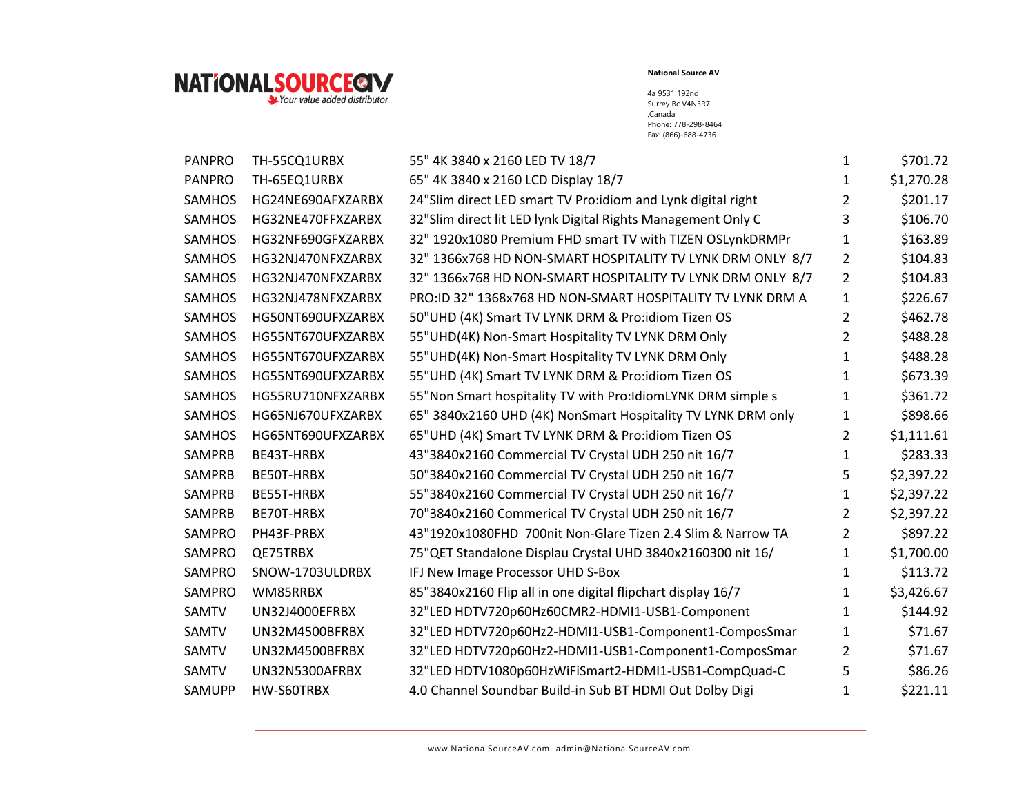

| <b>PANPRO</b> | TH-55CQ1URBX      | 55" 4K 3840 x 2160 LED TV 18/7                               | 1              | \$701.72   |
|---------------|-------------------|--------------------------------------------------------------|----------------|------------|
| <b>PANPRO</b> | TH-65EQ1URBX      | 65" 4K 3840 x 2160 LCD Display 18/7                          | 1              | \$1,270.28 |
| <b>SAMHOS</b> | HG24NE690AFXZARBX | 24"Slim direct LED smart TV Pro:idiom and Lynk digital right | 2              | \$201.17   |
| <b>SAMHOS</b> | HG32NE470FFXZARBX | 32"Slim direct lit LED lynk Digital Rights Management Only C | 3              | \$106.70   |
| <b>SAMHOS</b> | HG32NF690GFXZARBX | 32" 1920x1080 Premium FHD smart TV with TIZEN OSLynkDRMPr    | 1              | \$163.89   |
| <b>SAMHOS</b> | HG32NJ470NFXZARBX | 32" 1366x768 HD NON-SMART HOSPITALITY TV LYNK DRM ONLY 8/7   | $\overline{2}$ | \$104.83   |
| <b>SAMHOS</b> | HG32NJ470NFXZARBX | 32" 1366x768 HD NON-SMART HOSPITALITY TV LYNK DRM ONLY 8/7   | $\mathbf{2}$   | \$104.83   |
| <b>SAMHOS</b> | HG32NJ478NFXZARBX | PRO:ID 32" 1368x768 HD NON-SMART HOSPITALITY TV LYNK DRM A   | $\mathbf{1}$   | \$226.67   |
| <b>SAMHOS</b> | HG50NT690UFXZARBX | 50"UHD (4K) Smart TV LYNK DRM & Pro:idiom Tizen OS           | $\overline{2}$ | \$462.78   |
| <b>SAMHOS</b> | HG55NT670UFXZARBX | 55"UHD(4K) Non-Smart Hospitality TV LYNK DRM Only            | 2              | \$488.28   |
| <b>SAMHOS</b> | HG55NT670UFXZARBX | 55"UHD(4K) Non-Smart Hospitality TV LYNK DRM Only            | 1              | \$488.28   |
| <b>SAMHOS</b> | HG55NT690UFXZARBX | 55"UHD (4K) Smart TV LYNK DRM & Pro:idiom Tizen OS           | 1              | \$673.39   |
| <b>SAMHOS</b> | HG55RU710NFXZARBX | 55"Non Smart hospitality TV with Pro:IdiomLYNK DRM simple s  | 1              | \$361.72   |
| <b>SAMHOS</b> | HG65NJ670UFXZARBX | 65" 3840x2160 UHD (4K) NonSmart Hospitality TV LYNK DRM only | 1              | \$898.66   |
| <b>SAMHOS</b> | HG65NT690UFXZARBX | 65"UHD (4K) Smart TV LYNK DRM & Pro:idiom Tizen OS           | $\overline{2}$ | \$1,111.61 |
| SAMPRB        | BE43T-HRBX        | 43"3840x2160 Commercial TV Crystal UDH 250 nit 16/7          | 1              | \$283.33   |
| SAMPRB        | BE50T-HRBX        | 50"3840x2160 Commercial TV Crystal UDH 250 nit 16/7          | 5              | \$2,397.22 |
| <b>SAMPRB</b> | BE55T-HRBX        | 55"3840x2160 Commercial TV Crystal UDH 250 nit 16/7          | 1              | \$2,397.22 |
| <b>SAMPRB</b> | BE70T-HRBX        | 70"3840x2160 Commerical TV Crystal UDH 250 nit 16/7          | $\overline{2}$ | \$2,397.22 |
| SAMPRO        | PH43F-PRBX        | 43"1920x1080FHD 700nit Non-Glare Tizen 2.4 Slim & Narrow TA  | $\overline{2}$ | \$897.22   |
| SAMPRO        | QE75TRBX          | 75"QET Standalone Displau Crystal UHD 3840x2160300 nit 16/   | 1              | \$1,700.00 |
| <b>SAMPRO</b> | SNOW-1703ULDRBX   | IFJ New Image Processor UHD S-Box                            | 1              | \$113.72   |
| SAMPRO        | WM85RRBX          | 85"3840x2160 Flip all in one digital flipchart display 16/7  | 1              | \$3,426.67 |
| <b>SAMTV</b>  | UN32J4000EFRBX    | 32"LED HDTV720p60Hz60CMR2-HDMI1-USB1-Component               | 1              | \$144.92   |
| SAMTV         | UN32M4500BFRBX    | 32"LED HDTV720p60Hz2-HDMI1-USB1-Component1-ComposSmar        | $\mathbf{1}$   | \$71.67    |
| SAMTV         | UN32M4500BFRBX    | 32"LED HDTV720p60Hz2-HDMI1-USB1-Component1-ComposSmar        | $\mathbf{2}$   | \$71.67    |
| <b>SAMTV</b>  | UN32N5300AFRBX    | 32"LED HDTV1080p60HzWiFiSmart2-HDMI1-USB1-CompQuad-C         | 5              | \$86.26    |
| <b>SAMUPP</b> | HW-S60TRBX        | 4.0 Channel Soundbar Build-in Sub BT HDMI Out Dolby Digi     | 1              | \$221.11   |
|               |                   |                                                              |                |            |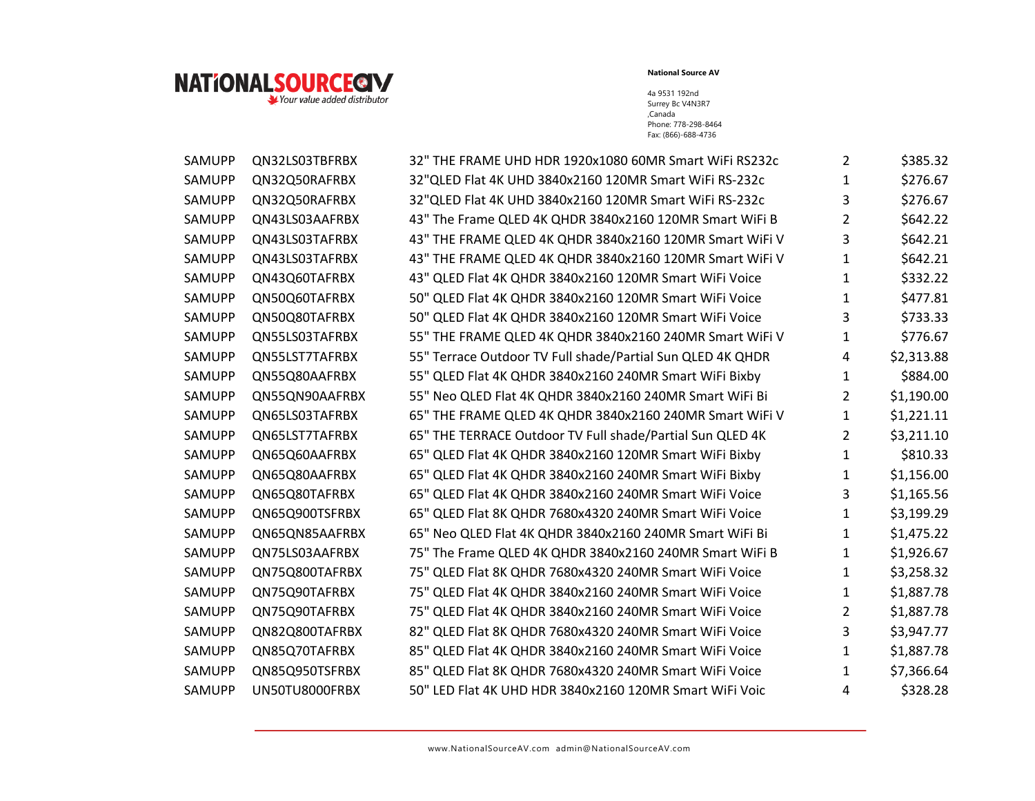

| SAMUPP | QN32LS03TBFRBX | 32" THE FRAME UHD HDR 1920x1080 60MR Smart WiFi RS232c     | $\overline{2}$ | \$385.32   |
|--------|----------------|------------------------------------------------------------|----------------|------------|
| SAMUPP | QN32Q50RAFRBX  | 32"QLED Flat 4K UHD 3840x2160 120MR Smart WiFi RS-232c     | 1              | \$276.67   |
| SAMUPP | QN32Q50RAFRBX  | 32"QLED Flat 4K UHD 3840x2160 120MR Smart WiFi RS-232c     | 3              | \$276.67   |
| SAMUPP | QN43LS03AAFRBX | 43" The Frame QLED 4K QHDR 3840x2160 120MR Smart WiFi B    | $\overline{2}$ | \$642.22   |
| SAMUPP | QN43LS03TAFRBX | 43" THE FRAME QLED 4K QHDR 3840x2160 120MR Smart WiFi V    | 3              | \$642.21   |
| SAMUPP | QN43LS03TAFRBX | 43" THE FRAME QLED 4K QHDR 3840x2160 120MR Smart WiFi V    | $\mathbf{1}$   | \$642.21   |
| SAMUPP | QN43Q60TAFRBX  | 43" QLED Flat 4K QHDR 3840x2160 120MR Smart WiFi Voice     | 1              | \$332.22   |
| SAMUPP | QN50Q60TAFRBX  | 50" QLED Flat 4K QHDR 3840x2160 120MR Smart WiFi Voice     | 1              | \$477.81   |
| SAMUPP | QN50Q80TAFRBX  | 50" QLED Flat 4K QHDR 3840x2160 120MR Smart WiFi Voice     | 3              | \$733.33   |
| SAMUPP | QN55LS03TAFRBX | 55" THE FRAME QLED 4K QHDR 3840x2160 240MR Smart WiFi V    | $\mathbf{1}$   | \$776.67   |
| SAMUPP | QN55LST7TAFRBX | 55" Terrace Outdoor TV Full shade/Partial Sun QLED 4K QHDR | 4              | \$2,313.88 |
| SAMUPP | QN55Q80AAFRBX  | 55" QLED Flat 4K QHDR 3840x2160 240MR Smart WiFi Bixby     | 1              | \$884.00   |
| SAMUPP | QN55QN90AAFRBX | 55" Neo QLED Flat 4K QHDR 3840x2160 240MR Smart WiFi Bi    | $\overline{2}$ | \$1,190.00 |
| SAMUPP | QN65LS03TAFRBX | 65" THE FRAME QLED 4K QHDR 3840x2160 240MR Smart WiFi V    | $\mathbf{1}$   | \$1,221.11 |
| SAMUPP | QN65LST7TAFRBX | 65" THE TERRACE Outdoor TV Full shade/Partial Sun QLED 4K  | $\overline{2}$ | \$3,211.10 |
| SAMUPP | QN65Q60AAFRBX  | 65" QLED Flat 4K QHDR 3840x2160 120MR Smart WiFi Bixby     | 1              | \$810.33   |
| SAMUPP | QN65Q80AAFRBX  | 65" QLED Flat 4K QHDR 3840x2160 240MR Smart WiFi Bixby     | 1              | \$1,156.00 |
| SAMUPP | QN65Q80TAFRBX  | 65" QLED Flat 4K QHDR 3840x2160 240MR Smart WiFi Voice     | 3              | \$1,165.56 |
| SAMUPP | QN65Q900TSFRBX | 65" QLED Flat 8K QHDR 7680x4320 240MR Smart WiFi Voice     | 1              | \$3,199.29 |
| SAMUPP | QN65QN85AAFRBX | 65" Neo QLED Flat 4K QHDR 3840x2160 240MR Smart WiFi Bi    | 1              | \$1,475.22 |
| SAMUPP | QN75LS03AAFRBX | 75" The Frame QLED 4K QHDR 3840x2160 240MR Smart WiFi B    | 1              | \$1,926.67 |
| SAMUPP | QN75Q800TAFRBX | 75" QLED Flat 8K QHDR 7680x4320 240MR Smart WiFi Voice     | 1              | \$3,258.32 |
| SAMUPP | QN75Q90TAFRBX  | 75" QLED Flat 4K QHDR 3840x2160 240MR Smart WiFi Voice     | 1              | \$1,887.78 |
| SAMUPP | QN75Q90TAFRBX  | 75" QLED Flat 4K QHDR 3840x2160 240MR Smart WiFi Voice     | $\overline{2}$ | \$1,887.78 |
| SAMUPP | QN82Q800TAFRBX | 82" QLED Flat 8K QHDR 7680x4320 240MR Smart WiFi Voice     | $\overline{3}$ | \$3,947.77 |
| SAMUPP | QN85Q70TAFRBX  | 85" QLED Flat 4K QHDR 3840x2160 240MR Smart WiFi Voice     | 1              | \$1,887.78 |
| SAMUPP | QN85Q950TSFRBX | 85" QLED Flat 8K QHDR 7680x4320 240MR Smart WiFi Voice     | 1              | \$7,366.64 |
| SAMUPP | UN50TU8000FRBX | 50" LED Flat 4K UHD HDR 3840x2160 120MR Smart WiFi Voic    | 4              | \$328.28   |
|        |                |                                                            |                |            |